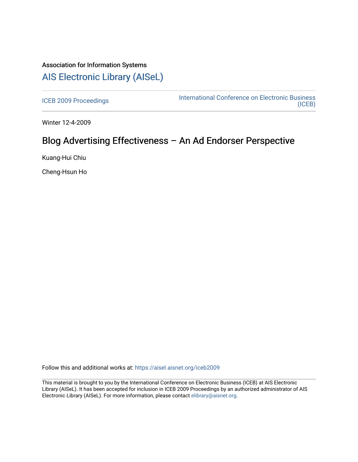# Association for Information Systems [AIS Electronic Library \(AISeL\)](https://aisel.aisnet.org/)

[ICEB 2009 Proceedings](https://aisel.aisnet.org/iceb2009) **International Conference on Electronic Business** [\(ICEB\)](https://aisel.aisnet.org/iceb) 

Winter 12-4-2009

# Blog Advertising Effectiveness – An Ad Endorser Perspective

Kuang-Hui Chiu

Cheng-Hsun Ho

Follow this and additional works at: [https://aisel.aisnet.org/iceb2009](https://aisel.aisnet.org/iceb2009?utm_source=aisel.aisnet.org%2Ficeb2009%2F70&utm_medium=PDF&utm_campaign=PDFCoverPages)

This material is brought to you by the International Conference on Electronic Business (ICEB) at AIS Electronic Library (AISeL). It has been accepted for inclusion in ICEB 2009 Proceedings by an authorized administrator of AIS Electronic Library (AISeL). For more information, please contact [elibrary@aisnet.org.](mailto:elibrary@aisnet.org%3E)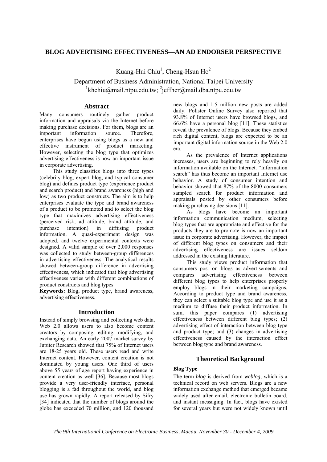# **BLOG ADVERTISING EFFECTIVENESS—AN AD ENDORSER PERSPECTIVE**

Kuang-Hui Chiu<sup>1</sup>, Cheng-Hsun Ho<sup>2</sup>

Department of Business Administration, National Taipei University  $\frac{1}{k}$ khchiu@mail.ntpu.edu.tw;  $\frac{2}{j}$ effher@mail.dba.ntpu.edu.tw

## **Abstract**

Many consumers routinely gather product information and appraisals via the Internet before making purchase decisions. For them, blogs are an important information source. Therefore, enterprises have begun using blogs as a new and effective instrument of product marketing. However, selecting the blog type that optimizes advertising effectiveness is now an important issue in corporate advertising.

This study classifies blogs into three types (celebrity blog, expert blog, and typical consumer blog) and defines product type (experience product and search product) and brand awareness (high and low) as two product constructs. The aim is to help enterprises evaluate the type and brand awareness of a product to be promoted and to select the blog type that maximizes advertising effectiveness (perceived risk, ad attitude, brand attitude, and purchase intention) in diffusing product information. A quasi-experiment design was adopted, and twelve experimental contexts were designed. A valid sample of over 2,000 responses was collected to study between-group differences in advertising effectiveness. The analytical results showed between-group difference in advertising effectiveness, which indicated that blog advertising effectiveness varies with different combinations of product constructs and blog types.

**Keywords:** Blog, product type, brand awareness, advertising effectiveness.

## **Introduction**

Instead of simply browsing and collecting web data, Web 2.0 allows users to also become content creators by composing, editing, modifying, and exchanging data. An early 2007 market survey by Jupiter Research showed that 75% of Internet users are 18-25 years old. These users read and write Internet content. However, content creation is not dominated by young users. One third of users above 55 years of age report having experience in content creation as well [36]. Because most blogs provide a very user-friendly interface, personal blogging is a fad throughout the world, and blog use has grown rapidly. A report released by Sifry [34] indicated that the number of blogs around the globe has exceeded 70 million, and 120 thousand

new blogs and 1.5 million new posts are added daily. Pollster Online Survey also reported that 93.8% of Internet users have browsed blogs, and 66.6% have a personal blog [11]. These statistics reveal the prevalence of blogs. Because they embed rich digital content, blogs are expected to be an important digital information source in the Web 2.0 era.

As the prevalence of Internet applications increases, users are beginning to rely heavily on information available on the Internet. "Information search" has thus become an important Internet use behavior. A study of consumer intention and behavior showed that 87% of the 8000 consumers sampled search for product information and appraisals posted by other consumers before making purchasing decisions [11].

As blogs have become an important information communication medium, selecting blog types that are appropriate and effective for the products they are to promote is now an important issue in corporate advertising. However, the impact of different blog types on consumers and their advertising effectiveness are issues seldom addressed in the existing literature.

This study views product information that consumers post on blogs as advertisements and compares advertising effectiveness between different blog types to help enterprises properly employ blogs in their marketing campaigns. According to product type and brand awareness, they can select a suitable blog type and use it as a medium to diffuse their product information. In sum, this paper compares (1) advertising effectiveness between different blog types; (2) advertising effect of interaction between blog type and product type; and (3) changes in advertising effectiveness caused by the interaction effect between blog type and brand awareness.

## **Theoretical Background**

## **Blog Type**

The term *blog* is derived from *weblog*, which is a technical record on web servers. Blogs are a new information exchange method that emerged became widely used after email, electronic bulletin board, and instant messaging. In fact, blogs have existed for several years but were not widely known until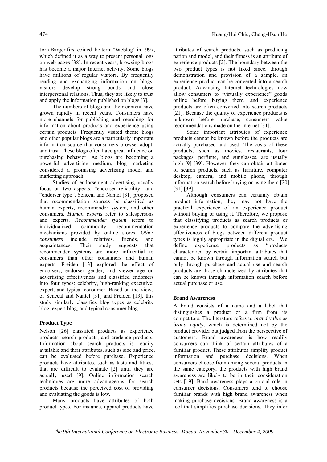Jorn Barger first coined the term "Weblog" in 1997, which defined it as a way to present personal logs on web pages [38]. In recent years, browsing blogs has become a major Internet activity. Some blogs have millions of regular visitors. By frequently reading and exchanging information on blogs, visitors develop strong bonds and close interpersonal relations. Thus, they are likely to trust and apply the information published on blogs [3].

The numbers of blogs and their content have grown rapidly in recent years. Consumers have more channels for publishing and searching for information about products and experience using certain products. Frequently visited theme blogs and other popular blogs are a particularly important information source that consumers browse, adopt, and trust. These blogs often have great influence on purchasing behavior. As blogs are becoming a powerful advertising medium, blog marketing considered a promising advertising model and marketing approach.

Studies of endorsement advertising usually focus on two aspects: "endorser reliability" and "endorser type". Senecal and Nantel [31] proposed that recommendation sources be classified as human experts, recommender system, and other consumers. *Human experts* refer to salespersons and experts. *Recommender system* refers to individualized commodity recommendation mechanisms provided by online stores. *Other consumers* include relatives, friends, and acquaintances. Their study suggests that recommender systems are more influential to consumers than other consumers and human experts. Freiden [13] explored the effect of endorsers, endorser gender, and viewer age on advertising effectiveness and classified endorsers into four types: celebrity, high-ranking executive, expert, and typical consumer. Based on the views of Senecal and Nantel [31] and Freiden [13], this study similarly classifies blog types as celebrity blog, expert blog, and typical consumer blog.

## **Product Type**

Nelson [26] classified products as experience products, search products, and credence products. Information about search products is readily available and their attributes, such as size and price, can be evaluated before purchase. Experience products have attributes, such as taste and fitness that are difficult to evaluate [2] until they are actually used [9]. Online information search techniques are more advantageous for search products because the perceived cost of providing and evaluating the goods is low.

Many products have attributes of both product types. For instance, apparel products have attributes of search products, such as producing nation and model, and their fitness is an attribute of experience products [2]. The boundary between the two product types is not fixed since, through demonstration and provision of a sample, an experience product can be converted into a search product. Advancing Internet technologies now allow consumers to "virtually experience" goods online before buying them, and experience products are often converted into search products [21]. Because the quality of experience products is unknown before purchase, consumers value recommendations made on the Internet [31].

Some important attributes of experience products cannot be known before the products are actually purchased and used. The costs of these products, such as movies, restaurants, tour packages, perfume, and sunglasses, are usually high [9] [39]. However, they can obtain attributes of search products, such as furniture, computer desktop, camera, and mobile phone, through information search before buying or using them [20] [31] [39].

Although consumers can certainly obtain product information, they may not have the practical experience of an experience product without buying or using it. Therefore, we propose that classifying products as search products or experience products to compare the advertising effectiveness of blogs between different product types is highly appropriate in the digital era. We define experience products as "products characterized by certain important attributes that cannot be known through information search but only through purchase and actual use and search products are those characterized by attributes that can be known through information search before actual purchase or use.

## **Brand Awareness**

A brand consists of a name and a label that distinguishes a product or a firm from its competitors. The literature refers to *brand value* as *brand equity,* which is determined not by the product provider but judged from the perspective of customers. Brand awareness is how readily consumers can think of certain attributes of a familiar product. These attributes simplify product information and purchase decisions. When consumers choose from among several products in the same category, the products with high brand awareness are likely to be in their consideration sets [19]. Band awareness plays a crucial role in consumer decisions. Consumers tend to choose familiar brands with high brand awareness when making purchase decisions. Brand awareness is a tool that simplifies purchase decisions. They infer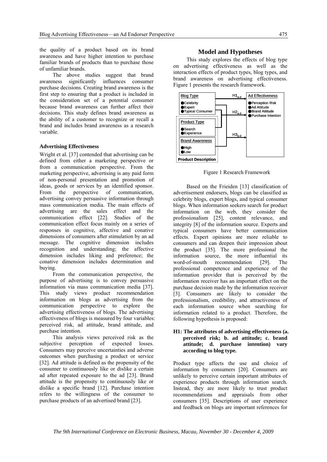the quality of a product based on its brand awareness and have higher intention to purchase familiar brands of products than to purchase those of unfamiliar brands.

The above studies suggest that brand awareness significantly influences consumer purchase decisions. Creating brand awareness is the first step to ensuring that a product is included in the consideration set of a potential consumer because brand awareness can further affect their decisions. This study defines brand awareness as the ability of a customer to recognize or recall a brand and includes brand awareness as a research variable.

#### **Advertising Effectiveness**

Wright et al. [37] contended that advertising can be defined from either a marketing perspective or from a communication perspective. From the marketing perspective, advertising is any paid form of non-personal presentation and promotion of ideas, goods or services by an identified sponsor. From the perspective of communication, advertising convey persuasive information through mass communication media. The main effects of advertising are the sales effect and the communication effect [22]. Studies of the communication effect focus mainly on a series of responses in cognitive, affective and conative dimensions of consumers after stimulation by an ad message. The cognitive dimension includes recognition and understanding; the affective dimension includes liking and preference; the conative dimension includes determination and buying.

From the communication perspective, the purpose of advertising is to convey persuasive information via mass communication media [37]. This study views product recommendation information on blogs as advertising from the communication perspective to explore the advertising effectiveness of blogs. The advertising effectiveness of blogs is measured by four variables: perceived risk, ad attitude, brand attitude, and purchase intention.

This analysis views perceived risk as the subjective perception of expected losses. Consumers may perceive uncertainties and adverse outcomes when purchasing a product or service [32]. Ad attitude is defined as the propensity of the consumer to continuously like or dislike a certain ad after repeated exposure to the ad [23]. Brand attitude is the propensity to continuously like or dislike a specific brand [12]. Purchase intention refers to the willingness of the consumer to purchase products of an advertised brand [23].

#### **Model and Hypotheses**

This study explores the effects of blog type advertising effectiveness as well as the interaction effects of product types, blog types, and brand awareness on advertising effectiveness. Figure 1 presents the research framework.



Figure 1 Research Framework

Based on the Frieiden [13] classification of advertisement endorsers, blogs can be classified as celebrity blogs, expert blogs, and typical consumer blogs. When information seekers search for product information on the web, they consider the professionalism [25], content relevance, and integrity [8] of the information source. Experts and typical consumers have better communication effects. Expert opinions are more reliable to consumers and can deepen their impression about the product [35]. The more professional the information source, the more influential its<br>word-of-mouth recommendation [29]. The word-of-mouth recommendation [29]. The professional competence and experience of the information provider that is perceived by the information receiver has an important effect on the purchase decision made by the information receiver [3]. Consumers are likely to consider the professionalism, credibility, and attractiveness of each information source when searching for information related to a product. Therefore, the following hypothesis is proposed:

#### **H1: The attributes of advertising effectiveness (a. perceived risk; b. ad attitude; c. brand attitude; d. purchase intention) vary according to blog type.**

Product type affects the use and choice of information by consumers [20]. Consumers are unlikely to perceive certain important attributes of experience products through information search. Instead, they are more likely to trust product recommendations and appraisals from other consumers [35]. Descriptions of user experience and feedback on blogs are important references for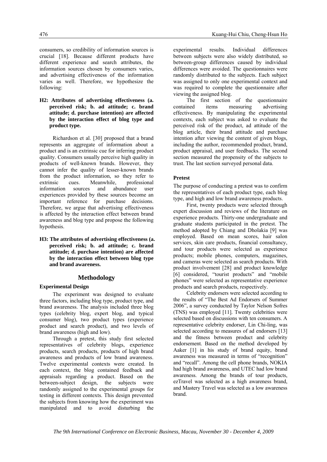consumers, so credibility of information sources is crucial [18]. Because different products have different experience and search attributes, the information sources chosen by consumers varies, and advertising effectiveness of the information varies as well. Therefore, we hypothesize the following:

**H2: Attributes of advertising effectiveness (a. perceived risk; b. ad attitude; c. brand attitude; d. purchase intention) are affected by the interaction effect of blog type and product type.** 

Richardson et al. [30] proposed that a brand represents an aggregate of information about a product and is an extrinsic cue for inferring product quality. Consumers usually perceive high quality in products of well-known brands. However, they cannot infer the quality of lesser-known brands from the product information, so they refer to extrinsic cues. Meanwhile, professional information sources and abundance user experiences provided by these sources become an important reference for purchase decisions. Therefore, we argue that advertising effectiveness is affected by the interaction effect between brand awareness and blog type and propose the following hypothesis.

**H3: The attributes of advertising effectiveness (a. perceived risk; b. ad attitude; c. brand attitude; d. purchase intention) are affected by the interaction effect between blog type and brand awareness.** 

## **Methodology**

## **Experimental Design**

The experiment was designed to evaluate three factors, including blog type, product type, and brand awareness. The analysis included three blog types (celebrity blog, expert blog, and typical consumer blog), two product types (experience product and search product), and two levels of brand awareness (high and low).

Through a pretest, this study first selected representatives of celebrity blogs, experience products, search products, products of high brand awareness and products of low brand awareness. Twelve experimental contexts were created. In each context, the blog contained feedback and appraisals regarding a product. Based on the between-subject design, the subjects were randomly assigned to the experimental groups for testing in different contexts. This design prevented the subjects from knowing how the experiment was manipulated and to avoid disturbing the experimental results. Individual differences between subjects were also widely distributed, so between-group differences caused by individual differences were avoided. The questionnaires were randomly distributed to the subjects. Each subject was assigned to only one experimental context and was required to complete the questionnaire after viewing the assigned blog.

The first section of the questionnaire contained items measuring advertising effectiveness. By manipulating the experimental contexts, each subject was asked to evaluate the perceived risk of the product, ad attitude of the blog article, their brand attitude and purchase intention after viewing the content of given blogs, including the author, recommended product, brand, product appraisal, and user feedbacks. The second section measured the propensity of the subjects to trust. The last section surveyed personal data.

## **Pretest**

The purpose of conducting a pretest was to confirm the representatives of each product type, each blog type, and high and low brand awareness products.

First, twenty products were selected through expert discussion and reviews of the literature on experience products. Thirty-one undergraduate and graduate students participated in the pretest. The method adopted by Chiang and Dholakia [9] was employed. Based on mean scores, hair salon services, skin care products, financial consultancy, and tour products were selected as experience products; mobile phones, computers, magazines, and cameras were selected as search products. With product involvement [28] and product knowledge [6] considered, "tourist products" and "mobile phones" were selected as representative experience products and search products, respectively.

Celebrity endorsers were selected according to the results of "The Best Ad Endorsers of Summer 2006", a survey conducted by Taylor Nelson Sofres (TNS) was employed [11]. Twenty celebrities were selected based on discussions with ten consumers. A representative celebrity endorser, Lin Chi-ling, was selected according to measures of ad endorsers [13] and the fitness between product and celebrity endorsement. Based on the method developed by Aaker [1] in his study of brand equity, brand awareness was measured in terms of "recognition" and "recall". Among the cell phone brands, NOKIA had high brand awareness, and UTEC had low brand awareness. Among the brands of tour products, ezTravel was selected as a high awareness brand, and Mastery Travel was selected as a low awareness brand.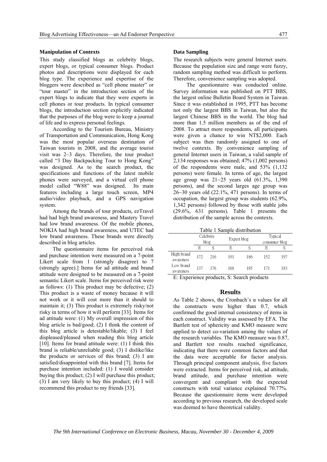#### **Manipulation of Contexts**

This study classified blogs as celebrity blogs, expert blogs, or typical consumer blogs. Product photos and descriptions were displayed for each blog type. The experience and expertise of the bloggers were described as "cell phone master" or "tour master" in the introduction section of the expert blogs to indicate that they were experts in cell phones or tour products. In typical consumer blogs, the introduction section explicitly indicated that the purposes of the blog were to keep a journal of life and to express personal feelings.

According to the Tourism Bureau, Ministry of Transportation and Communication, Hong Kong was the most popular overseas destination of Taiwan tourists in 2008, and the average tourist visit was 2~3 days. Therefore, the tour product called "3 Day Backpacking Tour to Hong Kong" was designed. As to the search product, the specifications and functions of the latest mobile phones were surveyed, and a virtual cell phone model called "W88" was designed. Its main features including a large touch screen, MP4 audio/video playback, and a GPS navigation system.

Among the brands of tour products, ezTravel had had high brand awareness, and Mastery Travel had low brand awareness. Of the mobile phones, NOKIA had high brand awareness, and UTEC had low brand awareness. These brands were directly described in blog articles.

The questionnaire items for perceived risk and purchase intention were measured on a 7-point Likert scale from 1 (strongly disagree) to 7 (strongly agree).] Items for ad attitude and brand attitude were designed to be measured on a 7-point semantic Likert scale. Items for perceived risk were as follows: (1) This product may be defective; (2) This product is a waste of money because it will not work or it will cost more than it should to maintain it; (3) This product is extremely risky/not risky in terms of how it will perform [33]. Items for ad attitude were: (1) My overall impression of this blog article is bad/good; (2) I think the content of this blog article is detestable/likable; (3) I feel displeased/pleased when reading this blog article [10]. Items for brand attitude were: (1) I think this brand is reliable/unreliable good; (3) I dislike/like the products or services of this brand; (3) I am satisfied/disappointed with this brand [7]. Items for purchase intention included: (1) I would consider buying this product; (2) I will purchase this product; (3) I am very likely to buy this product; (4) I will recommend this product to my friends [33].

#### **Data Sampling**

The research subjects were general Internet users. Because the population size and range were fuzzy, random sampling method was difficult to perform. Therefore, convenience sampling was adopted.

The questionnaire was conducted online. Survey information was published on PTT BBS, the largest online Bulletin Board System in Taiwan. Since it was established in 1995, PTT has become not only the largest BBS in Taiwan, but also the largest Chinese BBS in the world. The blog had more than 1.5 million members as of the end of 2008. To attract more respondents, all participants were given a chance to win NT\$2,000. Each subject was then randomly assigned to one of twelve contexts. By convenience sampling of general Internet users in Taiwan, a valid sample of 2,134 responses was obtained; 47% (1,002 persons) of the respondents were male, and 53% (1,132 persons) were female. In terms of age, the largest age group was  $21 \sim 25$  years old  $(61.3\%, 1.390)$ persons), and the second larges age group was 26~30 years old (22.1%, 471 persons). In terms of occupation, the largest group was students (62.9%, 1,342 persons) followed by those with stable jobs (29.6%, 631 persons). Table 1 presents the distribution of the sample across the contexts.

Table 1 Sample distribution

|            |     | Celebrity | Expert blog |     | Typical       |     |
|------------|-----|-----------|-------------|-----|---------------|-----|
|            |     | blog      |             |     | consumer blog |     |
|            | E   |           | E           |     | F             |     |
| High brand | 172 | 216       | 191         | 186 | 152           | 197 |
| awareness  |     |           |             |     |               |     |
| Low brand  | 137 | 176       | 168         | 185 | 171           | 183 |
| awareness  |     |           |             |     |               |     |

E: Experience products, S: Search products

#### **Results**

As Table 2 shows, the Cronbach's α values for all the constructs were higher than 0.7, which confirmed the good internal consistency of items in each construct. Validity was assessed by EFA. The Bartlett test of sphericity and KMO measure were applied to detect co-variation among the values of the research variables. The KMO measure was 0.87, and Bartlett test results reached significance, indicating that there were common factors and that the data were acceptable for factor analysis. Through principal component analysis, five factors were extracted. Items for perceived risk, ad attitude, brand attitude, and purchase intention were convergent and compliant with the expected constructs with total variance explained 70.77%. Because the questionnaire items were developed according to previous research, the developed scale was deemed to have theoretical validity.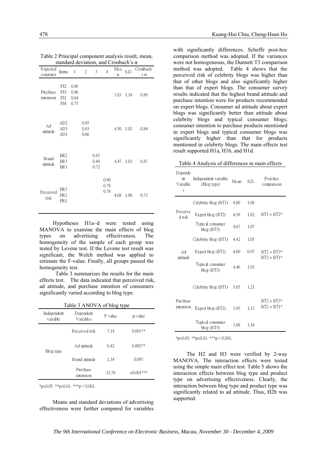| Expected<br>construct    | Items                                     | 1                            | 2                    | 3                    | $\overline{4}$       | Mea<br>n | S.D. | Cronbach'<br>$s \alpha$ |
|--------------------------|-------------------------------------------|------------------------------|----------------------|----------------------|----------------------|----------|------|-------------------------|
| Purchase<br>intension    | PI <sub>2</sub><br>PI3<br>PI1<br>PI4      | 0.86<br>0.86<br>0.84<br>0.75 |                      |                      |                      | 3.83     | 1.18 | 0.89                    |
| Ad<br>attitude           | AD <sub>2</sub><br>AD3<br>AD1             |                              | 0.85<br>0.83<br>0.66 |                      |                      | 4.50     | 1.02 | 0.84                    |
| <b>Brand</b><br>attitude | BR <sub>2</sub><br>BR3<br>BR <sub>1</sub> |                              |                      | 0.83<br>0.80<br>0.72 |                      | 4.47     | 1.03 | 0.87                    |
| Perceived<br>risk        | PR3<br>PR <sub>2</sub><br>PR1             |                              |                      |                      | 0.80<br>0.78<br>0.76 | 4.68     | 1.06 | 0.73                    |

Table 2 Principal component analysis result, mean, standard deviation, and Cronbach's α

Hypotheses H1a~d were tested using MANOVA to examine the main effects of blog types on advertising effectiveness. The homogeneity of the sample of each group was tested by Levene test. If the Levene test result was significant, the Welch method was applied to estimate the F-value. Finally, all groups passed the homogeneity test.

 Table 3 summarizes the results for the main effects test. The data indicated that perceived risk, ad attitude, and purchase intention of consumers significantly varied according to blog type.

| Table 3 ANOVA of blog type |  |  |  |  |
|----------------------------|--|--|--|--|
|----------------------------|--|--|--|--|

| Independent<br>variable | Dependent<br>Variables                  | F value | p-value        |
|-------------------------|-----------------------------------------|---------|----------------|
|                         | Perceived risk                          | 7.14    | $0.001**$      |
| Blog type               | Ad attitude                             | 6.42    | $0.002**$      |
|                         | Brand attitude<br>Purchase<br>intension |         | 0.097          |
|                         |                                         |         | ***<br>< 0.001 |

 $*p<0.05$ .  $*p<0.01$ .  $**p<0.001$ .

Means and standard deviations of advertising effectiveness were further compared for variables with significantly differences. Scheffe post-hoc comparison method was adopted. If the variances were not homogeneous, the Dunnett T3 comparison method was adopted. Table 4 shows that the perceived risk of celebrity blogs was higher than that of other blogs and also significantly higher than that of expert blogs. The consumer survey results indicated that the highest brand attitude and purchase intention were for products recommended on expert blogs. Consumer ad attitude about expert blogs was significantly better than attitude about celebrity blogs and typical consumer blogs; consumer intention to purchase products mentioned in expert blogs and typical consumer blogs was significantly higher than that for products mentioned in celebrity blogs. The main effects test result supported H1a, H1b, and H1d.

Table 4 Analysis of differences in main effects

| Depende<br>nt<br>Variable<br>S | Independent variable<br>(Blog type) | Mean | S.D. | Post-hoc<br>comparison       |
|--------------------------------|-------------------------------------|------|------|------------------------------|
|                                | Celebrity blog (BT1)                | 4.80 | 1.08 |                              |
| Perceive<br>d risk             | Expert blog (BT2)                   | 4.58 | 1.02 | $BT1 > BT2*$                 |
|                                | Typical consumer<br>blog (BT3)      | 4.67 | 1.07 |                              |
|                                | Celebrity blog (BT1)                | 4.42 | 1.05 |                              |
| Ad<br>attitude                 | Expert blog (BT2)                   | 4.60 | 0.97 | $BT2 > BT3*$<br>$BT2 > BT1*$ |
|                                | Typical consumer<br>blog (BT3)      | 4.46 | 1.03 |                              |
|                                | Celebrity blog (BT1)                | 3.65 | 1.21 |                              |
| Purchase<br>intension          | Expert blog (BT2)                   | 3.95 | 1.13 | $BT2 > BT3*$<br>$BT2 > BT1*$ |
|                                | Typical consumer<br>blog (BT3)      | 3.88 | 1.18 |                              |

\*p<0.05. \*\*p<0.01. \*\*\*p<0.001.

The H2 and H3 were verified by 2-way MANOVA. The interaction effects were tested using the simple main effect test. Table 5 shows the interaction effects between blog type and product type on advertising effectiveness. Clearly, the interaction between blog type and product type was significantly related to ad attitude. Thus, H2b was supported.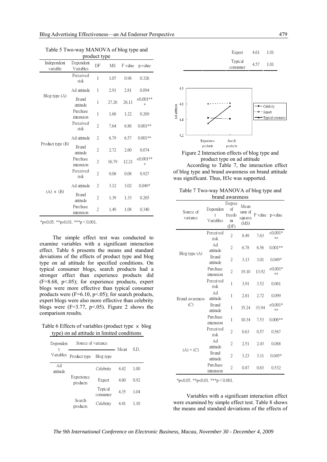| Independent<br>variable | Dependent<br>Variables   | DF             | MS    | F value | p-value              |
|-------------------------|--------------------------|----------------|-------|---------|----------------------|
|                         | Perceived<br>risk        | 1              | 1.07  | 0.96    | 0.326                |
| Blog type $(A)$         | Ad attitude              | 1              | 2.91  | 2.81    | 0.094                |
|                         | <b>Brand</b><br>attitude | 1              | 27.26 | 26.11   | $<0.001**$<br>$\ast$ |
|                         | Purchase<br>intension    | 1              | 1.68  | 1.22    | 0.269                |
| Product type (B)        | Perceived<br>risk        | $\overline{c}$ | 7.64  | 6.86    | $0.001**$            |
|                         | Ad attitude              | $\overline{2}$ | 6.79  | 6.57    | $0.001**$            |
|                         | <b>Brand</b><br>attitude | $\overline{2}$ | 2.72  | 2.60    | 0.074                |
|                         | Purchase<br>intension    | $\overline{2}$ | 16.79 | 12.21   | $<0.001**$<br>*      |
| $(A) \times (B)$        | Perceived<br>risk        | $\overline{2}$ | 0.08  | 0.08    | 0.927                |
|                         | Ad attitude              | 2              | 3.12  | 3.02    | $0.049*$             |
|                         | Brand<br>attitude        | $\overline{2}$ | 1.39  | 1.33    | 0.265                |
|                         | Purchase<br>intension    | $\overline{2}$ | 1.49  | 1.08    | 0.340                |

Table 5 Two-way MANOVA of blog type and product type

 $*p<0.05$ .  $*p<0.01$ .  $**p<0.001$ .

The simple effect test was conducted to examine variables with a significant interaction effect. Table 6 presents the means and standard deviations of the effects of product type and blog type on ad attitude for specified conditions. On typical consumer blogs, search products had a stronger effect than experience products did  $(F=8.68, p<0.05)$ ; for experience products, expert blogs were more effective than typical consumer products were  $(F=6.10, p<.05)$ ; for search products, expert blogs were also more effective than celebrity blogs were  $(F=3.77, p<0.65)$ . Figure 2 shows the comparison results.

Table 6 Effects of variables (product type  $\times$  blog type) on ad attitude in limited conditions

| Dependen<br>t  | Source of variance     | Mean                | S.D. |      |
|----------------|------------------------|---------------------|------|------|
| Variables      | Product type           | Blog type           |      |      |
| Ad<br>attitude |                        | Celebrity           | 4.42 | 1.00 |
|                | Experience<br>products | Expert              | 4.60 | 0.92 |
|                |                        | Typical<br>consumer | 4.35 | 1.04 |
|                | Search<br>products     | Celebrity           | 4.41 | 1.10 |

| Expert              | 4.61 | 1.01 |
|---------------------|------|------|
| Typical<br>consumer | 4.57 | 1.01 |





According to Table 7, the interaction effect of blog type and brand awareness on brand attitude was significant. Thus, H3c was supported.

| Table 7 Two-way MANOVA of blog type and |  |
|-----------------------------------------|--|
| brand awareness                         |  |

| Source of<br>variance | Dependen<br>t<br>Variables | Degree<br>of<br>freedo<br>m<br>(DF) | Mean<br>sum of<br>squares<br>(MS) | F value | p-value         |
|-----------------------|----------------------------|-------------------------------------|-----------------------------------|---------|-----------------|
|                       | Perceived<br>risk          | $\overline{2}$                      | 8.49                              | 7.63    | $<0.001*$<br>** |
| Blog type $(A)$       | Ad<br>attitude             | 2                                   | 6.78                              | 6.56    | $0.001**$       |
|                       | <b>Brand</b><br>attitude   | $\overline{2}$                      | 3.13                              | 3.01    | $0.049*$        |
|                       | Purchase<br>intension      | $\overline{2}$                      | 19.10                             | 13.92   | $<0.001*$<br>** |
|                       | Perceived<br>risk          | 1                                   | 3.91                              | 3.52    | 0.061           |
| Brand awareness       | Ad<br>attitude             | 1                                   | 2.81                              | 2.72    | 0.099           |
| (C)                   | <b>Brand</b><br>attitude   | 1                                   | 35.24                             | 33.94   | $<0.001*$<br>** |
|                       | Purchase<br>intension      | 1                                   | 10.34                             | 7.53    | $0.006**$       |
|                       | Perceived<br>risk          | $\overline{2}$                      | 0.63                              | 0.57    | 0.567           |
|                       | Ad<br>attitude             | $\overline{2}$                      | 2.51                              | 2.43    | 0.088           |
| $(A) \times (C)$      | <b>Brand</b><br>attitude   | 2                                   | 3.23                              | 3.11    | $0.045*$        |
|                       | Purchase<br>intension      | $\overline{2}$                      | 0.87                              | 0.63    | 0.532           |

\*p<0.05. \*\*p<0.01. \*\*\*p<0.001.

Variables with a significant interaction effect were examined by simple effect test. Table 8 shows the means and standard deviations of the effects of

*The 9th International Conference on Electronic Business, Macau, November 30 - December 4, 2009*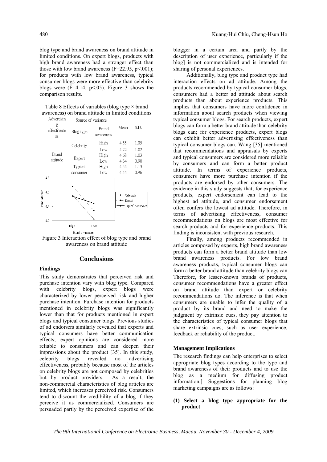blog type and brand awareness on brand attitude in limited conditions. On expert blogs, products with high brand awareness had a stronger effect than those with low brand awareness ( $F=22.95$ ,  $p<.001$ ); for products with low brand awareness, typical consumer blogs were more effective than celebrity blogs were  $(F=4.14, p<0.05)$ . Figure 3 shows the comparison results.

| Table 8 Effects of variables (blog type $\times$ brand |
|--------------------------------------------------------|
| awareness) on brand attitude in limited conditions     |

Advertisin Source of variance g Mean S.D. ss Blog type Brand<br>ss awareness effectivene awareness Celebrity High 4.55 1.05<br>Low 4.22 1.02  $4.22$ Brand Expert High 4.68 1.03<br>Low 4.34 0.90 attitude High 4.54 1.13 **Typical** consumer Low 4.44 0.96 4.8 Brand attitude 4.6 → Celebrity  $\blacksquare \cdots$  Expert Typical consumer  $4.4$  $4.2$ High Low **Brand awareness** 

Figure 3 Interaction effect of blog type and brand awareness on brand attitude

### **Conclusions**

#### **Findings**

This study demonstrates that perceived risk and purchase intention vary with blog type. Compared with celebrity blogs, expert blogs were characterized by lower perceived risk and higher purchase intention. Purchase intention for products mentioned in celebrity blogs was significantly lower than that for products mentioned in expert blogs and typical consumer blogs. Previous studies of ad endorsers similarly revealed that experts and typical consumers have better communication effects; expert opinions are considered more reliable to consumers and can deepen their impressions about the product [35]. In this study, celebrity blogs revealed no advertising effectiveness, probably because most of the articles on celebrity blogs are not composed by celebrities but by product providers. As a result, the non-commercial characteristics of blog articles are limited, which increases perceived risk. Consumers tend to discount the credibility of a blog if they perceive it as commercialized. Consumers are persuaded partly by the perceived expertise of the blogger in a certain area and partly by the description of user experience, particularly if the blog] is not commercialized and is intended for sharing of personal experiences.

Additionally, blog type and product type had interaction effects on ad attitude. Among the products recommended by typical consumer blogs, consumers had a better ad attitude about search products than about experience products. This implies that consumers have more confidence in information about search products when viewing typical consumer blogs. For search products, expert blogs can form a better brand attitude than celebrity blogs can; for experience products, expert blogs can exhibit better advertising effectiveness than typical consumer blogs can. Wang [35] mentioned that recommendations and appraisals by experts and typical consumers are considered more reliable by consumers and can form a better product attitude. In terms of experience products, consumers have more purchase intention if the products are endorsed by other consumers. The evidence in this study suggests that, for experience products, expert endorsement can lead to the highest ad attitude, and consumer endorsement often confers the lowest ad attitude. Therefore, in terms of advertising effectiveness, consumer recommendations on blogs are most effective for search products and for experience products. This finding is inconsistent with previous research.

Finally, among products recommended in articles composed by experts, high brand awareness products can form a better brand attitude than low brand awareness products. For low brand awareness products, typical consumer blogs can form a better brand attitude than celebrity blogs can. Therefore, for lesser-known brands of products, consumer recommendations have a greater effect on brand attitude than expert or celebrity recommendations do. The inference is that when consumers are unable to infer the quality of a product by its brand and need to make the judgment by extrinsic cues, they pay attention to the characteristics of typical consumer blogs that share extrinsic cues, such as user experience, feedback or reliability of the product.

#### **Management Implications**

The research findings can help enterprises to select appropriate blog types according to the type and brand awareness of their products and to use the blog as a medium for diffusing product information.] Suggestions for planning blog marketing campaigns are as follows:

### **(1) Select a blog type appropriate for the product**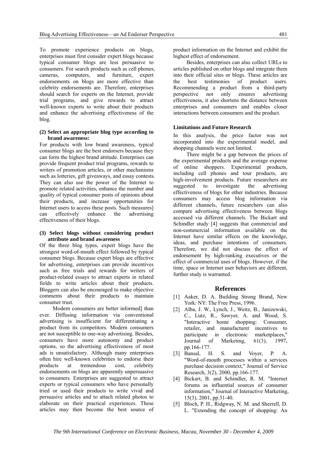To promote experience products on blogs, enterprises must first consider expert blogs because typical consumer blogs are less persuasive to consumers. For search products such as cell phones, cameras, computers, and furniture, expert endorsements on blogs are more effective than celebrity endorsements are. Therefore, enterprises should search for experts on the Internet, provide trial programs, and give rewards to attract well-known experts to write about their products and enhance the advertising effectiveness of the blog.

#### **(2) Select an appropriate blog type according to brand awareness:**

For products with low brand awareness, typical consumer blogs are the best endorsers because they can form the highest brand attitude. Enterprises can provide frequent product trial programs, rewards to writers of promotion articles, or other mechanisms such as lotteries, gift giveaways, and essay contests. They can also use the power of the Internet to promote related activities, enhance the number and quality of typical consumer posts of opinions about their products, and increase opportunities for Internet users to access these posts. Such measures] can effectively enhance the advertising effectiveness of their blogs.

#### **(3) Select blogs without considering product attribute and brand awareness**

Of the three blog types, expert blogs have the strongest word-of-mouth effect followed by typical consumer blogs. Because expert blogs are effective for advertising, enterprises can provide incentives such as free trials and rewards for writers of product-related essays to attract experts in related fields to write articles about their products. Bloggers can also be encouraged to make objective comments about their products to maintain consumer trust.

Modern consumers are better informed] than ever. Diffusing information via conventional advertising is insufficient for differentiating a product from its competitors. Modern consumers are not susceptible to one-way advertising. Besides, consumers have more autonomy and product options, so the advertising effectiveness of most ads is unsatisfactory. Although many enterprises often hire well-known celebrities to endorse their products at tremendous cost, celebrity endorsements on blogs are apparently unpersuasive to consumers. Enterprises are suggested to attract experts or typical consumers who have personally tried or used their products to write vivid and persuasive articles and to attach related photos to elaborate on their practical experiences. These articles may then become the best source of product information on the Internet and exhibit the highest effect of endorsement.

Besides, enterprises can also collect URLs to articles published on other blogs and integrate them into their official sites or blogs. These articles are the best testimonies of product users. Recommending a product from a third-party perspective not only ensures advertising effectiveness, it also shortens the distance between enterprises and consumers and enables closer interactions between consumers and the product.

#### **Limitations and Future Research**

In this analysis, the price factor was not incorporated into the experimental model, and shopping channels were not limited.

There might be a gap between the prices of the experimental products and the average expense of online shoppers. Experimental products, including cell phones and tour products, are high-involvement products. Future researchers are suggested to investigate the advertising effectiveness of blogs for other industries. Because consumers may access blog information via different channels, future researchers can also compare advertising effectiveness between blogs accessed via different channels. The Bickart and Schindler study [4] suggests that commercial and non-commercial information available on the Internet have similar effects on the knowledge, ideas, and purchase intentions of consumers. Therefore, we did not discuss the effect of endorsement by high-ranking executives or the effect of commercial uses of blogs. However, if the time, space or Internet user behaviors are different, further study is warranted.

## **References**

- [1] Aaker, D. A. Building Strong Brand, New York: NY: The Free Press, 1996.
- [2] Alba, J. W., Lynch, J., Weitz, B., Janizewski, C., Lutz, R., Sawyer, A. and Wood, S. "Interactive home shopping: Consumer, retailer, and manufacturer incentives to participate in electronic marketplaces," Journal of Marketing, 61(3), 1997, pp.166-177.
- [3] Bansal, H. S. and Voyer, P. A. "Word-of-mouth processes within a services purchase decision context," Journal of Service Research, 3(2), 2000, pp.166-177.
- [4] Bickart, B. and Schindler, R. M. "Internet forums as influential sources of consumer information," Journal of Interactive Marketing, 15(3), 2001, pp.31-40.
- [5] Bloch, P. H., Ridgway, N. M. and Sherrell, D. L. "Extending the concept of shopping: An